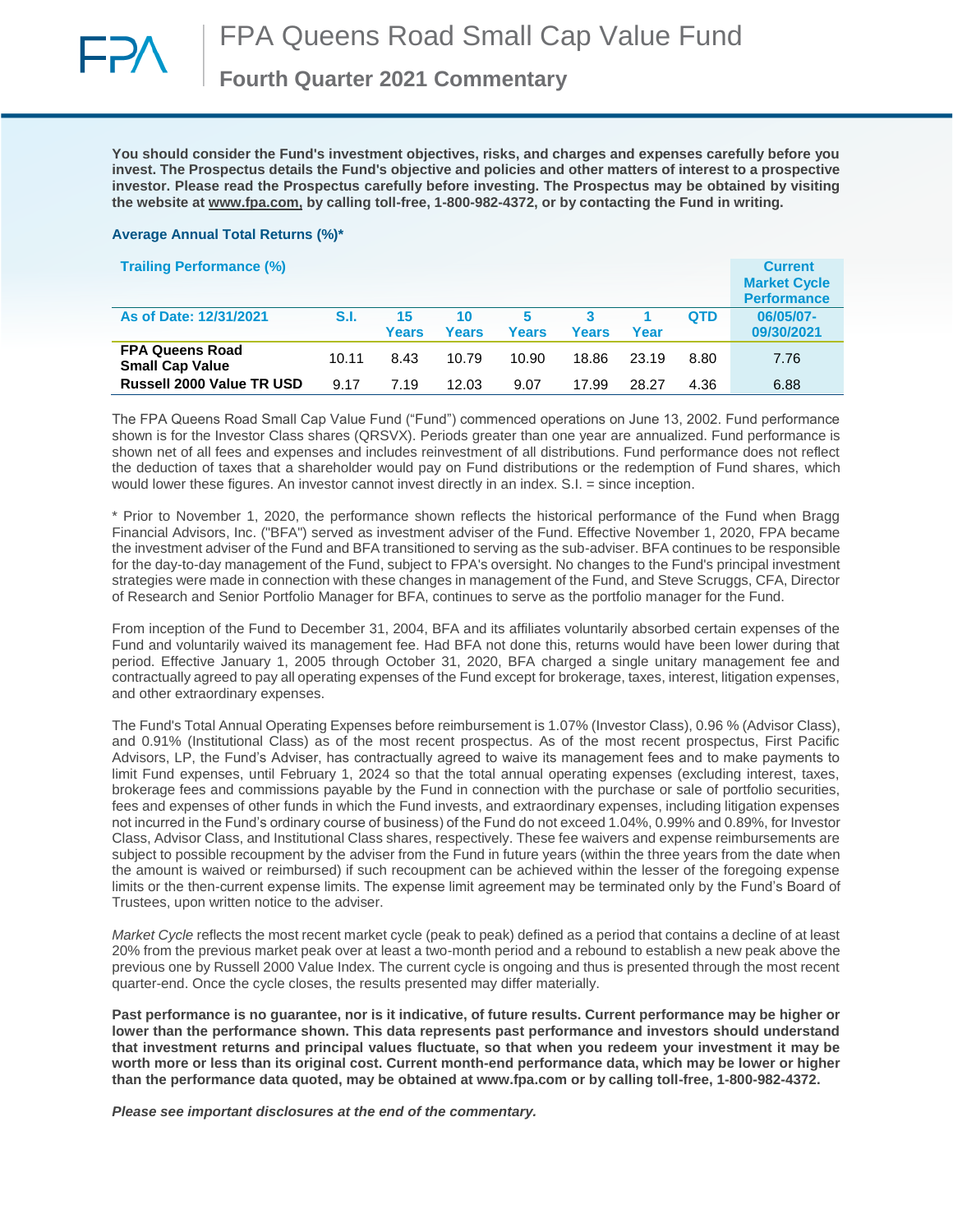

**Fourth Quarter 2021 Commentary**

**You should consider the Fund's investment objectives, risks, and charges and expenses carefully before you invest. The Prospectus details the Fund's objective and policies and other matters of interest to a prospective investor. Please read the Prospectus carefully before investing. The Prospectus may be obtained by visiting the website at [www.fpa.com,](http://www.fpa.com/) by calling toll-free, 1-800-982-4372, or by contacting the Fund in writing.**

#### **Average Annual Total Returns (%)\***

| <b>Trailing Performance (%)</b>                  |       |                    |             |            |              |       |            | <b>Current</b><br><b>Market Cycle</b><br><b>Performance</b> |
|--------------------------------------------------|-------|--------------------|-------------|------------|--------------|-------|------------|-------------------------------------------------------------|
| As of Date: 12/31/2021                           | S.I.  | 15<br><b>Years</b> | 10<br>Years | 5<br>Years | <b>Years</b> | Year  | <b>QTD</b> | 06/05/07-<br>09/30/2021                                     |
| <b>FPA Queens Road</b><br><b>Small Cap Value</b> | 10.11 | 8.43               | 10.79       | 10.90      | 18.86        | 23.19 | 8.80       | 7.76                                                        |
| <b>Russell 2000 Value TR USD</b>                 | 9.17  | 7.19               | 12.03       | 9.07       | 17.99        | 28.27 | 4.36       | 6.88                                                        |

The FPA Queens Road Small Cap Value Fund ("Fund") commenced operations on June 13, 2002. Fund performance shown is for the Investor Class shares (QRSVX). Periods greater than one year are annualized. Fund performance is shown net of all fees and expenses and includes reinvestment of all distributions. Fund performance does not reflect the deduction of taxes that a shareholder would pay on Fund distributions or the redemption of Fund shares, which would lower these figures. An investor cannot invest directly in an index. S.I. = since inception.

\* Prior to November 1, 2020, the performance shown reflects the historical performance of the Fund when Bragg Financial Advisors, Inc. ("BFA") served as investment adviser of the Fund. Effective November 1, 2020, FPA became the investment adviser of the Fund and BFA transitioned to serving as the sub-adviser. BFA continues to be responsible for the day-to-day management of the Fund, subject to FPA's oversight. No changes to the Fund's principal investment strategies were made in connection with these changes in management of the Fund, and Steve Scruggs, CFA, Director of Research and Senior Portfolio Manager for BFA, continues to serve as the portfolio manager for the Fund.

From inception of the Fund to December 31, 2004, BFA and its affiliates voluntarily absorbed certain expenses of the Fund and voluntarily waived its management fee. Had BFA not done this, returns would have been lower during that period. Effective January 1, 2005 through October 31, 2020, BFA charged a single unitary management fee and contractually agreed to pay all operating expenses of the Fund except for brokerage, taxes, interest, litigation expenses, and other extraordinary expenses.

The Fund's Total Annual Operating Expenses before reimbursement is 1.07% (Investor Class), 0.96 % (Advisor Class), and 0.91% (Institutional Class) as of the most recent prospectus. As of the most recent prospectus, First Pacific Advisors, LP, the Fund's Adviser, has contractually agreed to waive its management fees and to make payments to limit Fund expenses, until February 1, 2024 so that the total annual operating expenses (excluding interest, taxes, brokerage fees and commissions payable by the Fund in connection with the purchase or sale of portfolio securities, fees and expenses of other funds in which the Fund invests, and extraordinary expenses, including litigation expenses not incurred in the Fund's ordinary course of business) of the Fund do not exceed 1.04%, 0.99% and 0.89%, for Investor Class, Advisor Class, and Institutional Class shares, respectively. These fee waivers and expense reimbursements are subject to possible recoupment by the adviser from the Fund in future years (within the three years from the date when the amount is waived or reimbursed) if such recoupment can be achieved within the lesser of the foregoing expense limits or the then-current expense limits. The expense limit agreement may be terminated only by the Fund's Board of Trustees, upon written notice to the adviser.

*Market Cycle* reflects the most recent market cycle (peak to peak) defined as a period that contains a decline of at least 20% from the previous market peak over at least a two-month period and a rebound to establish a new peak above the previous one by Russell 2000 Value Index. The current cycle is ongoing and thus is presented through the most recent quarter-end. Once the cycle closes, the results presented may differ materially.

**Past performance is no guarantee, nor is it indicative, of future results. Current performance may be higher or lower than the performance shown. This data represents past performance and investors should understand that investment returns and principal values fluctuate, so that when you redeem your investment it may be worth more or less than its original cost. Current month-end performance data, which may be lower or higher than the performance data quoted, may be obtained at www.fpa.com or by calling toll-free, 1-800-982-4372.**

*Please see important disclosures at the end of the commentary.*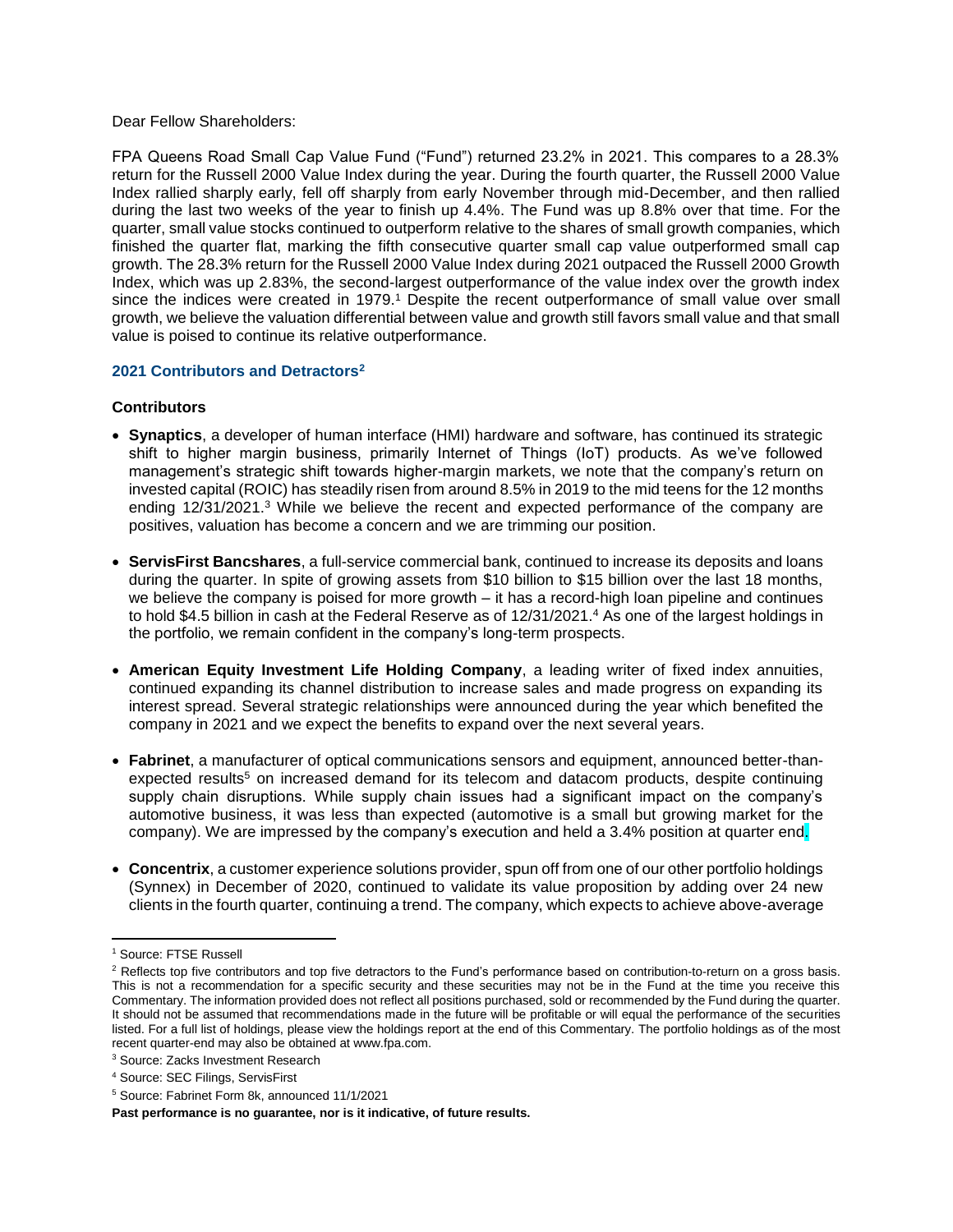#### Dear Fellow Shareholders:

FPA Queens Road Small Cap Value Fund ("Fund") returned 23.2% in 2021. This compares to a 28.3% return for the Russell 2000 Value Index during the year. During the fourth quarter, the Russell 2000 Value Index rallied sharply early, fell off sharply from early November through mid-December, and then rallied during the last two weeks of the year to finish up 4.4%. The Fund was up 8.8% over that time. For the quarter, small value stocks continued to outperform relative to the shares of small growth companies, which finished the quarter flat, marking the fifth consecutive quarter small cap value outperformed small cap growth. The 28.3% return for the Russell 2000 Value Index during 2021 outpaced the Russell 2000 Growth Index, which was up 2.83%, the second-largest outperformance of the value index over the growth index since the indices were created in 1979.<sup>1</sup> Despite the recent outperformance of small value over small growth, we believe the valuation differential between value and growth still favors small value and that small value is poised to continue its relative outperformance.

# **2021 Contributors and Detractors<sup>2</sup>**

# **Contributors**

- **Synaptics**, a developer of human interface (HMI) hardware and software, has continued its strategic shift to higher margin business, primarily Internet of Things (IoT) products. As we've followed management's strategic shift towards higher-margin markets, we note that the company's return on invested capital (ROIC) has steadily risen from around 8.5% in 2019 to the mid teens for the 12 months ending 12/31/2021.<sup>3</sup> While we believe the recent and expected performance of the company are positives, valuation has become a concern and we are trimming our position.
- **ServisFirst Bancshares**, a full-service commercial bank, continued to increase its deposits and loans during the quarter. In spite of growing assets from \$10 billion to \$15 billion over the last 18 months, we believe the company is poised for more growth – it has a record-high loan pipeline and continues to hold \$4.5 billion in cash at the Federal Reserve as of 12/31/2021. <sup>4</sup> As one of the largest holdings in the portfolio, we remain confident in the company's long-term prospects.
- **American Equity Investment Life Holding Company**, a leading writer of fixed index annuities, continued expanding its channel distribution to increase sales and made progress on expanding its interest spread. Several strategic relationships were announced during the year which benefited the company in 2021 and we expect the benefits to expand over the next several years.
- **Fabrinet**, a manufacturer of optical communications sensors and equipment, announced better-thanexpected results<sup>5</sup> on increased demand for its telecom and datacom products, despite continuing supply chain disruptions. While supply chain issues had a significant impact on the company's automotive business, it was less than expected (automotive is a small but growing market for the company). We are impressed by the company's execution and held a 3.4% position at quarter end.
- **Concentrix**, a customer experience solutions provider, spun off from one of our other portfolio holdings (Synnex) in December of 2020, continued to validate its value proposition by adding over 24 new clients in the fourth quarter, continuing a trend. The company, which expects to achieve above-average

 $\overline{\phantom{a}}$ 

<sup>1</sup> Source: FTSE Russell

<sup>&</sup>lt;sup>2</sup> Reflects top five contributors and top five detractors to the Fund's performance based on contribution-to-return on a gross basis. This is not a recommendation for a specific security and these securities may not be in the Fund at the time you receive this Commentary. The information provided does not reflect all positions purchased, sold or recommended by the Fund during the quarter. It should not be assumed that recommendations made in the future will be profitable or will equal the performance of the securities listed. For a full list of holdings, please view the holdings report at the end of this Commentary. The portfolio holdings as of the most recent quarter-end may also be obtained at www.fpa.com.

<sup>3</sup> Source: Zacks Investment Research

<sup>4</sup> Source: SEC Filings, ServisFirst

<sup>5</sup> Source: Fabrinet Form 8k, announced 11/1/2021

**Past performance is no guarantee, nor is it indicative, of future results.**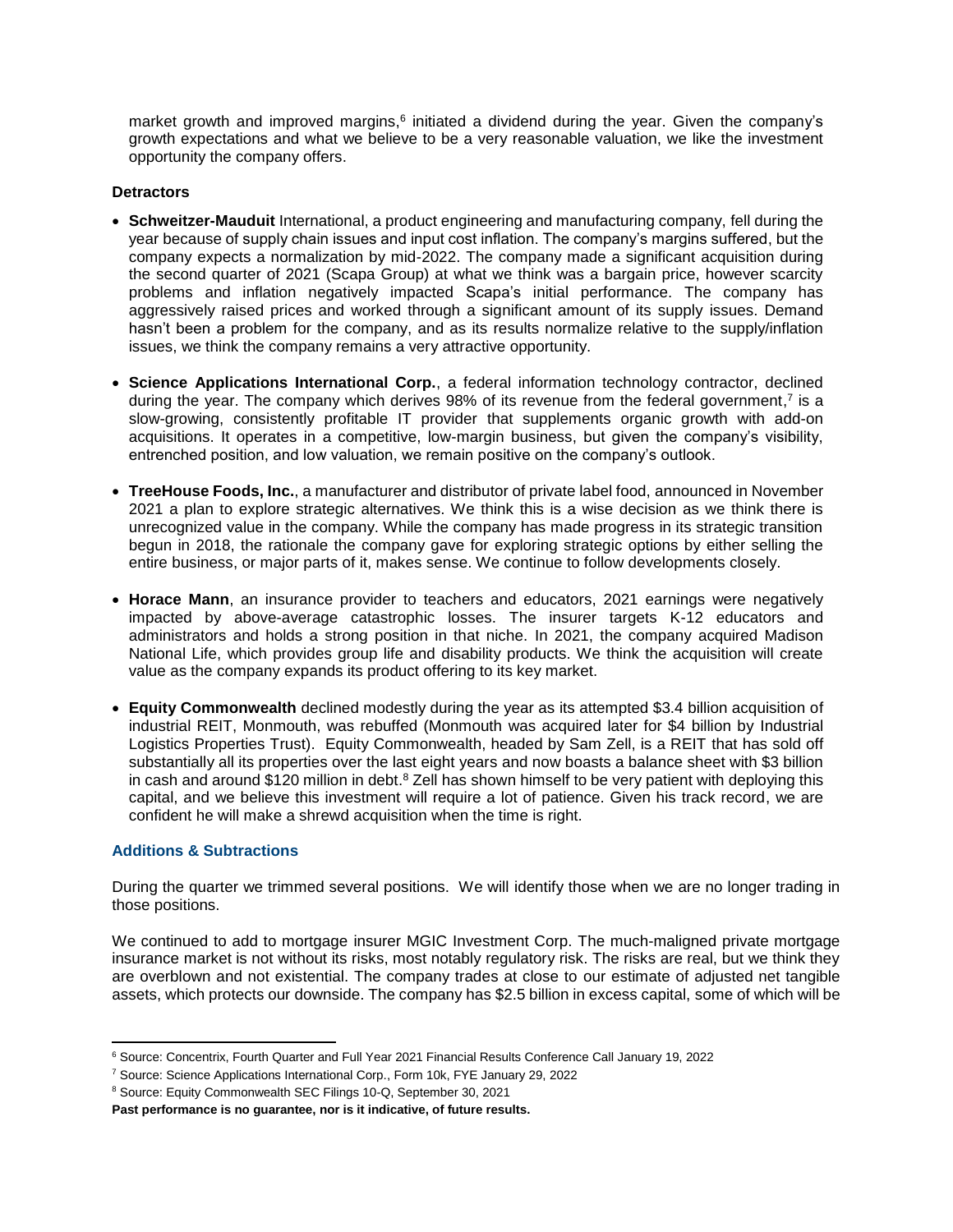market growth and improved margins,<sup>6</sup> initiated a dividend during the year. Given the company's growth expectations and what we believe to be a very reasonable valuation, we like the investment opportunity the company offers.

### **Detractors**

- **Schweitzer-Mauduit** International, a product engineering and manufacturing company, fell during the year because of supply chain issues and input cost inflation. The company's margins suffered, but the company expects a normalization by mid-2022. The company made a significant acquisition during the second quarter of 2021 (Scapa Group) at what we think was a bargain price, however scarcity problems and inflation negatively impacted Scapa's initial performance. The company has aggressively raised prices and worked through a significant amount of its supply issues. Demand hasn't been a problem for the company, and as its results normalize relative to the supply/inflation issues, we think the company remains a very attractive opportunity.
- **Science Applications International Corp.**, a federal information technology contractor, declined during the year. The company which derives  $98%$  of its revenue from the federal government,<sup>7</sup> is a slow-growing, consistently profitable IT provider that supplements organic growth with add-on acquisitions. It operates in a competitive, low-margin business, but given the company's visibility, entrenched position, and low valuation, we remain positive on the company's outlook.
- **TreeHouse Foods, Inc.**, a manufacturer and distributor of private label food, announced in November 2021 a plan to explore strategic alternatives. We think this is a wise decision as we think there is unrecognized value in the company. While the company has made progress in its strategic transition begun in 2018, the rationale the company gave for exploring strategic options by either selling the entire business, or major parts of it, makes sense. We continue to follow developments closely.
- **Horace Mann**, an insurance provider to teachers and educators, 2021 earnings were negatively impacted by above-average catastrophic losses. The insurer targets K-12 educators and administrators and holds a strong position in that niche. In 2021, the company acquired Madison National Life, which provides group life and disability products. We think the acquisition will create value as the company expands its product offering to its key market.
- **Equity Commonwealth** declined modestly during the year as its attempted \$3.4 billion acquisition of industrial REIT, Monmouth, was rebuffed (Monmouth was acquired later for \$4 billion by Industrial Logistics Properties Trust). Equity Commonwealth, headed by Sam Zell, is a REIT that has sold off substantially all its properties over the last eight years and now boasts a balance sheet with \$3 billion in cash and around \$120 million in debt.<sup>8</sup> Zell has shown himself to be very patient with deploying this capital, and we believe this investment will require a lot of patience. Given his track record, we are confident he will make a shrewd acquisition when the time is right.

## **Additions & Subtractions**

During the quarter we trimmed several positions. We will identify those when we are no longer trading in those positions.

We continued to add to mortgage insurer MGIC Investment Corp. The much-maligned private mortgage insurance market is not without its risks, most notably regulatory risk. The risks are real, but we think they are overblown and not existential. The company trades at close to our estimate of adjusted net tangible assets, which protects our downside. The company has \$2.5 billion in excess capital, some of which will be

l <sup>6</sup> Source: Concentrix, Fourth Quarter and Full Year 2021 Financial Results Conference Call January 19, 2022

<sup>7</sup> Source: Science Applications International Corp., Form 10k, FYE January 29, 2022

<sup>8</sup> Source: Equity Commonwealth SEC Filings 10-Q, September 30, 2021

**Past performance is no guarantee, nor is it indicative, of future results.**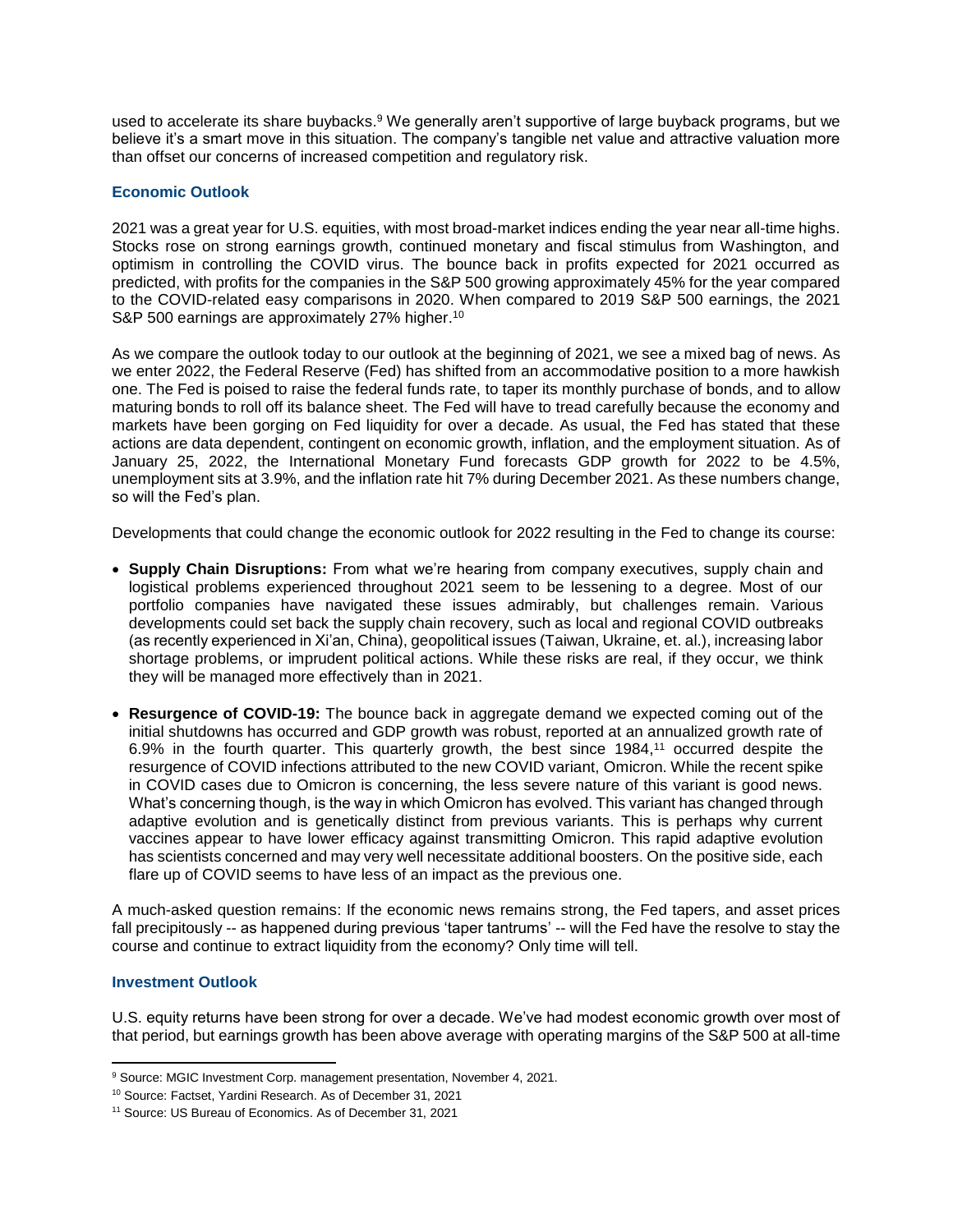used to accelerate its share buybacks.<sup>9</sup> We generally aren't supportive of large buyback programs, but we believe it's a smart move in this situation. The company's tangible net value and attractive valuation more than offset our concerns of increased competition and regulatory risk.

## **Economic Outlook**

2021 was a great year for U.S. equities, with most broad-market indices ending the year near all-time highs. Stocks rose on strong earnings growth, continued monetary and fiscal stimulus from Washington, and optimism in controlling the COVID virus. The bounce back in profits expected for 2021 occurred as predicted, with profits for the companies in the S&P 500 growing approximately 45% for the year compared to the COVID-related easy comparisons in 2020. When compared to 2019 S&P 500 earnings, the 2021 S&P 500 earnings are approximately 27% higher.<sup>10</sup>

As we compare the outlook today to our outlook at the beginning of 2021, we see a mixed bag of news. As we enter 2022, the Federal Reserve (Fed) has shifted from an accommodative position to a more hawkish one. The Fed is poised to raise the federal funds rate, to taper its monthly purchase of bonds, and to allow maturing bonds to roll off its balance sheet. The Fed will have to tread carefully because the economy and markets have been gorging on Fed liquidity for over a decade. As usual, the Fed has stated that these actions are data dependent, contingent on economic growth, inflation, and the employment situation. As of January 25, 2022, the International Monetary Fund forecasts GDP growth for 2022 to be 4.5%, unemployment sits at 3.9%, and the inflation rate hit 7% during December 2021. As these numbers change, so will the Fed's plan.

Developments that could change the economic outlook for 2022 resulting in the Fed to change its course:

- **Supply Chain Disruptions:** From what we're hearing from company executives, supply chain and logistical problems experienced throughout 2021 seem to be lessening to a degree. Most of our portfolio companies have navigated these issues admirably, but challenges remain. Various developments could set back the supply chain recovery, such as local and regional COVID outbreaks (as recently experienced in Xi'an, China), geopolitical issues (Taiwan, Ukraine, et. al.), increasing labor shortage problems, or imprudent political actions. While these risks are real, if they occur, we think they will be managed more effectively than in 2021.
- **Resurgence of COVID-19:** The bounce back in aggregate demand we expected coming out of the initial shutdowns has occurred and GDP growth was robust, reported at an annualized growth rate of 6.9% in the fourth quarter. This quarterly growth, the best since 1984, <sup>11</sup> occurred despite the resurgence of COVID infections attributed to the new COVID variant, Omicron. While the recent spike in COVID cases due to Omicron is concerning, the less severe nature of this variant is good news. What's concerning though, is the way in which Omicron has evolved. This variant has changed through adaptive evolution and is genetically distinct from previous variants. This is perhaps why current vaccines appear to have lower efficacy against transmitting Omicron. This rapid adaptive evolution has scientists concerned and may very well necessitate additional boosters. On the positive side, each flare up of COVID seems to have less of an impact as the previous one.

A much-asked question remains: If the economic news remains strong, the Fed tapers, and asset prices fall precipitously -- as happened during previous 'taper tantrums' -- will the Fed have the resolve to stay the course and continue to extract liquidity from the economy? Only time will tell.

## **Investment Outlook**

U.S. equity returns have been strong for over a decade. We've had modest economic growth over most of that period, but earnings growth has been above average with operating margins of the S&P 500 at all-time

 $\overline{\phantom{a}}$ <sup>9</sup> Source: MGIC Investment Corp. management presentation, November 4, 2021.

<sup>10</sup> Source: Factset, Yardini Research. As of December 31, 2021

<sup>11</sup> Source: US Bureau of Economics. As of December 31, 2021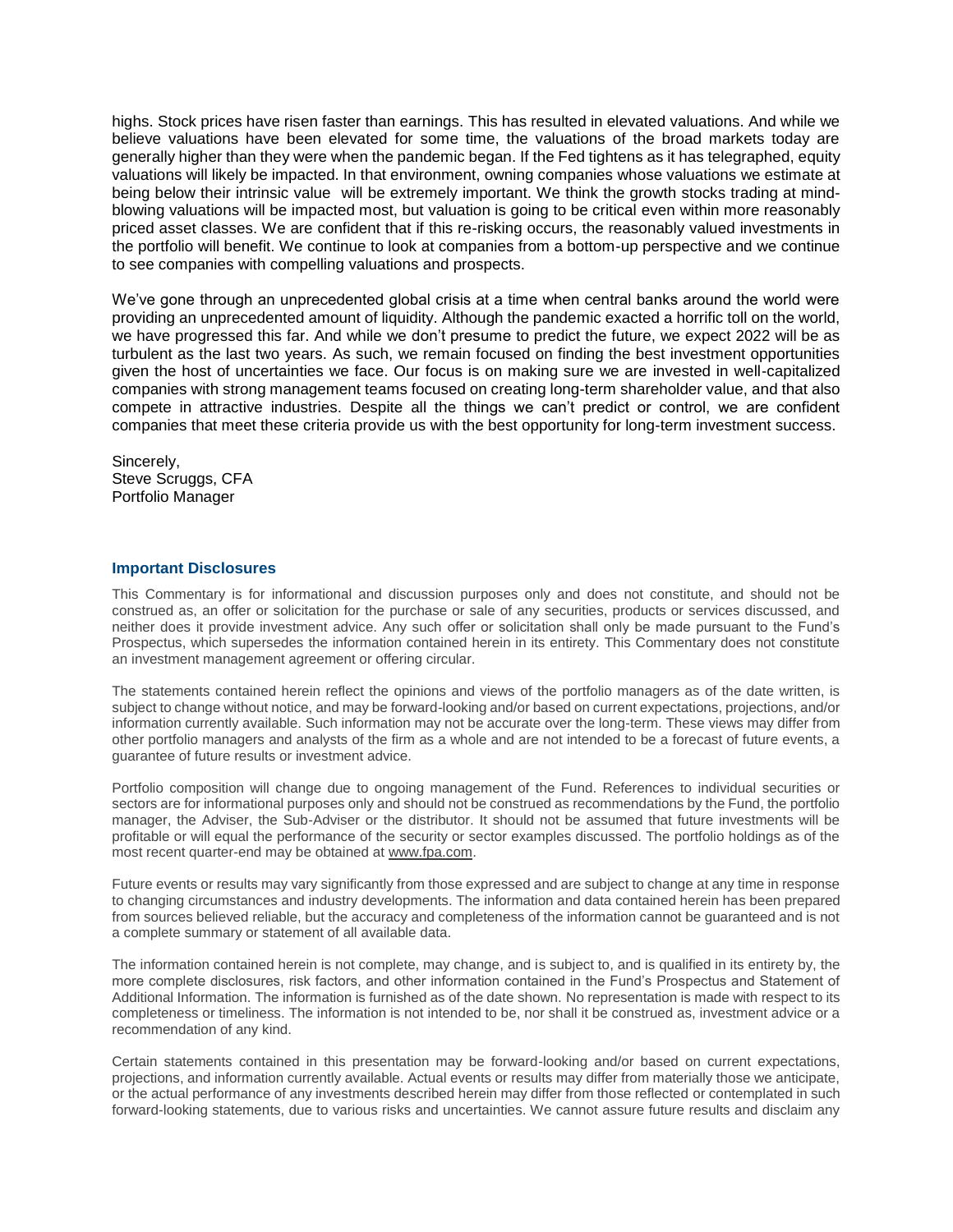highs. Stock prices have risen faster than earnings. This has resulted in elevated valuations. And while we believe valuations have been elevated for some time, the valuations of the broad markets today are generally higher than they were when the pandemic began. If the Fed tightens as it has telegraphed, equity valuations will likely be impacted. In that environment, owning companies whose valuations we estimate at being below their intrinsic value will be extremely important. We think the growth stocks trading at mindblowing valuations will be impacted most, but valuation is going to be critical even within more reasonably priced asset classes. We are confident that if this re-risking occurs, the reasonably valued investments in the portfolio will benefit. We continue to look at companies from a bottom-up perspective and we continue to see companies with compelling valuations and prospects.

We've gone through an unprecedented global crisis at a time when central banks around the world were providing an unprecedented amount of liquidity. Although the pandemic exacted a horrific toll on the world, we have progressed this far. And while we don't presume to predict the future, we expect 2022 will be as turbulent as the last two years. As such, we remain focused on finding the best investment opportunities given the host of uncertainties we face. Our focus is on making sure we are invested in well-capitalized companies with strong management teams focused on creating long-term shareholder value, and that also compete in attractive industries. Despite all the things we can't predict or control, we are confident companies that meet these criteria provide us with the best opportunity for long-term investment success.

Sincerely, Steve Scruggs, CFA Portfolio Manager

### **Important Disclosures**

This Commentary is for informational and discussion purposes only and does not constitute, and should not be construed as, an offer or solicitation for the purchase or sale of any securities, products or services discussed, and neither does it provide investment advice. Any such offer or solicitation shall only be made pursuant to the Fund's Prospectus, which supersedes the information contained herein in its entirety. This Commentary does not constitute an investment management agreement or offering circular.

The statements contained herein reflect the opinions and views of the portfolio managers as of the date written, is subject to change without notice, and may be forward-looking and/or based on current expectations, projections, and/or information currently available. Such information may not be accurate over the long-term. These views may differ from other portfolio managers and analysts of the firm as a whole and are not intended to be a forecast of future events, a guarantee of future results or investment advice.

Portfolio composition will change due to ongoing management of the Fund. References to individual securities or sectors are for informational purposes only and should not be construed as recommendations by the Fund, the portfolio manager, the Adviser, the Sub-Adviser or the distributor. It should not be assumed that future investments will be profitable or will equal the performance of the security or sector examples discussed. The portfolio holdings as of the most recent quarter-end may be obtained a[t www.fpa.com.](http://www.fpa.com/)

Future events or results may vary significantly from those expressed and are subject to change at any time in response to changing circumstances and industry developments. The information and data contained herein has been prepared from sources believed reliable, but the accuracy and completeness of the information cannot be guaranteed and is not a complete summary or statement of all available data.

The information contained herein is not complete, may change, and is subject to, and is qualified in its entirety by, the more complete disclosures, risk factors, and other information contained in the Fund's Prospectus and Statement of Additional Information. The information is furnished as of the date shown. No representation is made with respect to its completeness or timeliness. The information is not intended to be, nor shall it be construed as, investment advice or a recommendation of any kind.

Certain statements contained in this presentation may be forward-looking and/or based on current expectations, projections, and information currently available. Actual events or results may differ from materially those we anticipate, or the actual performance of any investments described herein may differ from those reflected or contemplated in such forward-looking statements, due to various risks and uncertainties. We cannot assure future results and disclaim any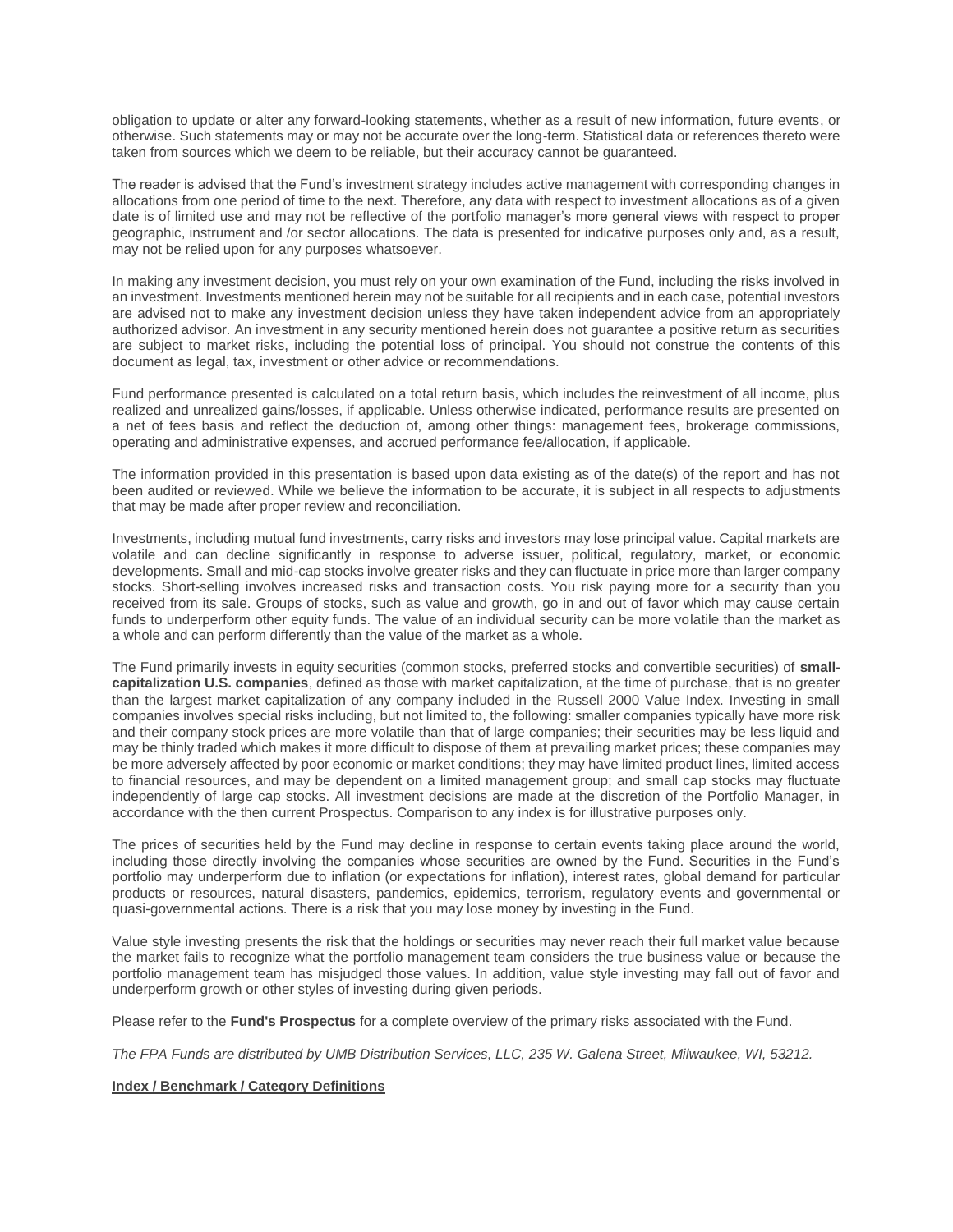obligation to update or alter any forward-looking statements, whether as a result of new information, future events, or otherwise. Such statements may or may not be accurate over the long-term. Statistical data or references thereto were taken from sources which we deem to be reliable, but their accuracy cannot be guaranteed.

The reader is advised that the Fund's investment strategy includes active management with corresponding changes in allocations from one period of time to the next. Therefore, any data with respect to investment allocations as of a given date is of limited use and may not be reflective of the portfolio manager's more general views with respect to proper geographic, instrument and /or sector allocations. The data is presented for indicative purposes only and, as a result, may not be relied upon for any purposes whatsoever.

In making any investment decision, you must rely on your own examination of the Fund, including the risks involved in an investment. Investments mentioned herein may not be suitable for all recipients and in each case, potential investors are advised not to make any investment decision unless they have taken independent advice from an appropriately authorized advisor. An investment in any security mentioned herein does not guarantee a positive return as securities are subject to market risks, including the potential loss of principal. You should not construe the contents of this document as legal, tax, investment or other advice or recommendations.

Fund performance presented is calculated on a total return basis, which includes the reinvestment of all income, plus realized and unrealized gains/losses, if applicable. Unless otherwise indicated, performance results are presented on a net of fees basis and reflect the deduction of, among other things: management fees, brokerage commissions, operating and administrative expenses, and accrued performance fee/allocation, if applicable.

The information provided in this presentation is based upon data existing as of the date(s) of the report and has not been audited or reviewed. While we believe the information to be accurate, it is subject in all respects to adjustments that may be made after proper review and reconciliation.

Investments, including mutual fund investments, carry risks and investors may lose principal value. Capital markets are volatile and can decline significantly in response to adverse issuer, political, regulatory, market, or economic developments. Small and mid-cap stocks involve greater risks and they can fluctuate in price more than larger company stocks. Short-selling involves increased risks and transaction costs. You risk paying more for a security than you received from its sale. Groups of stocks, such as value and growth, go in and out of favor which may cause certain funds to underperform other equity funds. The value of an individual security can be more volatile than the market as a whole and can perform differently than the value of the market as a whole.

The Fund primarily invests in equity securities (common stocks, preferred stocks and convertible securities) of **smallcapitalization U.S. companies**, defined as those with market capitalization, at the time of purchase, that is no greater than the largest market capitalization of any company included in the Russell 2000 Value Index. Investing in small companies involves special risks including, but not limited to, the following: smaller companies typically have more risk and their company stock prices are more volatile than that of large companies; their securities may be less liquid and may be thinly traded which makes it more difficult to dispose of them at prevailing market prices; these companies may be more adversely affected by poor economic or market conditions; they may have limited product lines, limited access to financial resources, and may be dependent on a limited management group; and small cap stocks may fluctuate independently of large cap stocks. All investment decisions are made at the discretion of the Portfolio Manager, in accordance with the then current Prospectus. Comparison to any index is for illustrative purposes only.

The prices of securities held by the Fund may decline in response to certain events taking place around the world, including those directly involving the companies whose securities are owned by the Fund. Securities in the Fund's portfolio may underperform due to inflation (or expectations for inflation), interest rates, global demand for particular products or resources, natural disasters, pandemics, epidemics, terrorism, regulatory events and governmental or quasi-governmental actions. There is a risk that you may lose money by investing in the Fund.

Value style investing presents the risk that the holdings or securities may never reach their full market value because the market fails to recognize what the portfolio management team considers the true business value or because the portfolio management team has misjudged those values. In addition, value style investing may fall out of favor and underperform growth or other styles of investing during given periods.

Please refer to the **Fund's Prospectus** for a complete overview of the primary risks associated with the Fund.

*The FPA Funds are distributed by UMB Distribution Services, LLC, 235 W. Galena Street, Milwaukee, WI, 53212.*

#### **Index / Benchmark / Category Definitions**